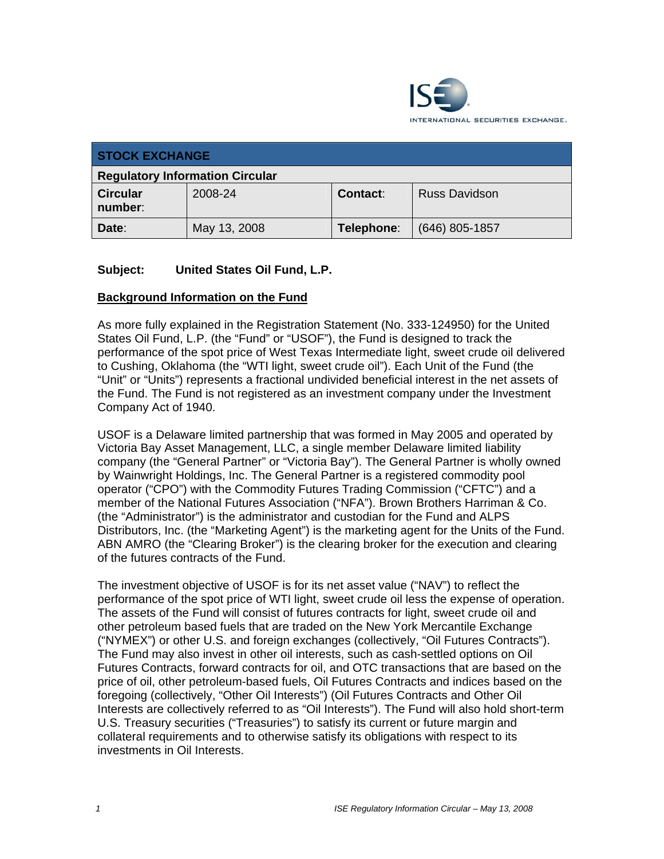

| <b>STOCK EXCHANGE</b>                  |              |                 |                      |
|----------------------------------------|--------------|-----------------|----------------------|
| <b>Regulatory Information Circular</b> |              |                 |                      |
| <b>Circular</b><br>number:             | 2008-24      | <b>Contact:</b> | <b>Russ Davidson</b> |
| Date:                                  | May 13, 2008 | Telephone:      | $(646)$ 805-1857     |

# **Subject: United States Oil Fund, L.P.**

## **Background Information on the Fund**

As more fully explained in the Registration Statement (No. 333-124950) for the United States Oil Fund, L.P. (the "Fund" or "USOF"), the Fund is designed to track the performance of the spot price of West Texas Intermediate light, sweet crude oil delivered to Cushing, Oklahoma (the "WTI light, sweet crude oil"). Each Unit of the Fund (the "Unit" or "Units") represents a fractional undivided beneficial interest in the net assets of the Fund. The Fund is not registered as an investment company under the Investment Company Act of 1940.

USOF is a Delaware limited partnership that was formed in May 2005 and operated by Victoria Bay Asset Management, LLC, a single member Delaware limited liability company (the "General Partner" or "Victoria Bay"). The General Partner is wholly owned by Wainwright Holdings, Inc. The General Partner is a registered commodity pool operator ("CPO") with the Commodity Futures Trading Commission ("CFTC") and a member of the National Futures Association ("NFA"). Brown Brothers Harriman & Co. (the "Administrator") is the administrator and custodian for the Fund and ALPS Distributors, Inc. (the "Marketing Agent") is the marketing agent for the Units of the Fund. ABN AMRO (the "Clearing Broker") is the clearing broker for the execution and clearing of the futures contracts of the Fund.

The investment objective of USOF is for its net asset value ("NAV") to reflect the performance of the spot price of WTI light, sweet crude oil less the expense of operation. The assets of the Fund will consist of futures contracts for light, sweet crude oil and other petroleum based fuels that are traded on the New York Mercantile Exchange ("NYMEX") or other U.S. and foreign exchanges (collectively, "Oil Futures Contracts"). The Fund may also invest in other oil interests, such as cash-settled options on Oil Futures Contracts, forward contracts for oil, and OTC transactions that are based on the price of oil, other petroleum-based fuels, Oil Futures Contracts and indices based on the foregoing (collectively, "Other Oil Interests") (Oil Futures Contracts and Other Oil Interests are collectively referred to as "Oil Interests"). The Fund will also hold short-term U.S. Treasury securities ("Treasuries") to satisfy its current or future margin and collateral requirements and to otherwise satisfy its obligations with respect to its investments in Oil Interests.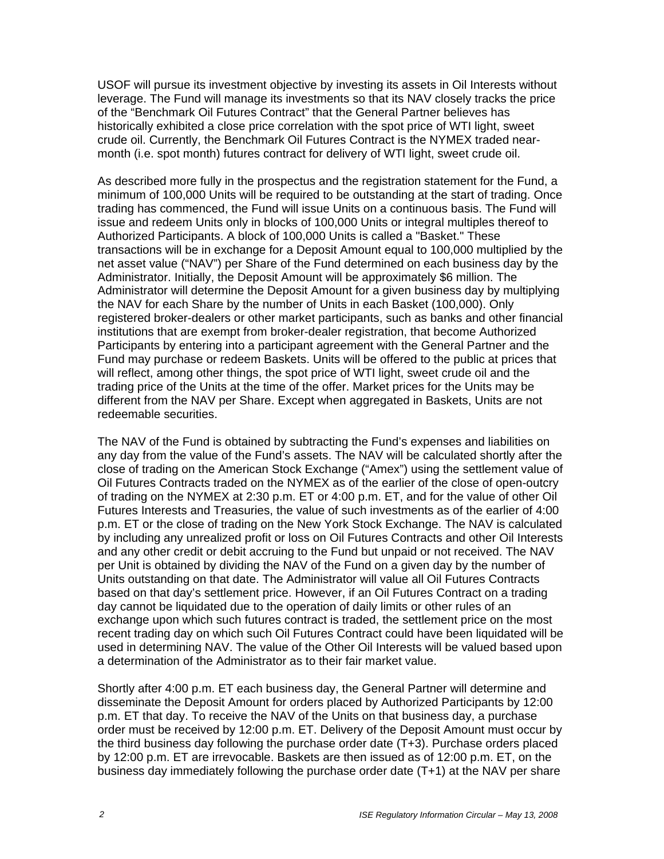USOF will pursue its investment objective by investing its assets in Oil Interests without leverage. The Fund will manage its investments so that its NAV closely tracks the price of the "Benchmark Oil Futures Contract" that the General Partner believes has historically exhibited a close price correlation with the spot price of WTI light, sweet crude oil. Currently, the Benchmark Oil Futures Contract is the NYMEX traded nearmonth (i.e. spot month) futures contract for delivery of WTI light, sweet crude oil.

As described more fully in the prospectus and the registration statement for the Fund, a minimum of 100,000 Units will be required to be outstanding at the start of trading. Once trading has commenced, the Fund will issue Units on a continuous basis. The Fund will issue and redeem Units only in blocks of 100,000 Units or integral multiples thereof to Authorized Participants. A block of 100,000 Units is called a "Basket." These transactions will be in exchange for a Deposit Amount equal to 100,000 multiplied by the net asset value ("NAV") per Share of the Fund determined on each business day by the Administrator. Initially, the Deposit Amount will be approximately \$6 million. The Administrator will determine the Deposit Amount for a given business day by multiplying the NAV for each Share by the number of Units in each Basket (100,000). Only registered broker-dealers or other market participants, such as banks and other financial institutions that are exempt from broker-dealer registration, that become Authorized Participants by entering into a participant agreement with the General Partner and the Fund may purchase or redeem Baskets. Units will be offered to the public at prices that will reflect, among other things, the spot price of WTI light, sweet crude oil and the trading price of the Units at the time of the offer. Market prices for the Units may be different from the NAV per Share. Except when aggregated in Baskets, Units are not redeemable securities.

The NAV of the Fund is obtained by subtracting the Fund's expenses and liabilities on any day from the value of the Fund's assets. The NAV will be calculated shortly after the close of trading on the American Stock Exchange ("Amex") using the settlement value of Oil Futures Contracts traded on the NYMEX as of the earlier of the close of open-outcry of trading on the NYMEX at 2:30 p.m. ET or 4:00 p.m. ET, and for the value of other Oil Futures Interests and Treasuries, the value of such investments as of the earlier of 4:00 p.m. ET or the close of trading on the New York Stock Exchange. The NAV is calculated by including any unrealized profit or loss on Oil Futures Contracts and other Oil Interests and any other credit or debit accruing to the Fund but unpaid or not received. The NAV per Unit is obtained by dividing the NAV of the Fund on a given day by the number of Units outstanding on that date. The Administrator will value all Oil Futures Contracts based on that day's settlement price. However, if an Oil Futures Contract on a trading day cannot be liquidated due to the operation of daily limits or other rules of an exchange upon which such futures contract is traded, the settlement price on the most recent trading day on which such Oil Futures Contract could have been liquidated will be used in determining NAV. The value of the Other Oil Interests will be valued based upon a determination of the Administrator as to their fair market value.

Shortly after 4:00 p.m. ET each business day, the General Partner will determine and disseminate the Deposit Amount for orders placed by Authorized Participants by 12:00 p.m. ET that day. To receive the NAV of the Units on that business day, a purchase order must be received by 12:00 p.m. ET. Delivery of the Deposit Amount must occur by the third business day following the purchase order date (T+3). Purchase orders placed by 12:00 p.m. ET are irrevocable. Baskets are then issued as of 12:00 p.m. ET, on the business day immediately following the purchase order date (T+1) at the NAV per share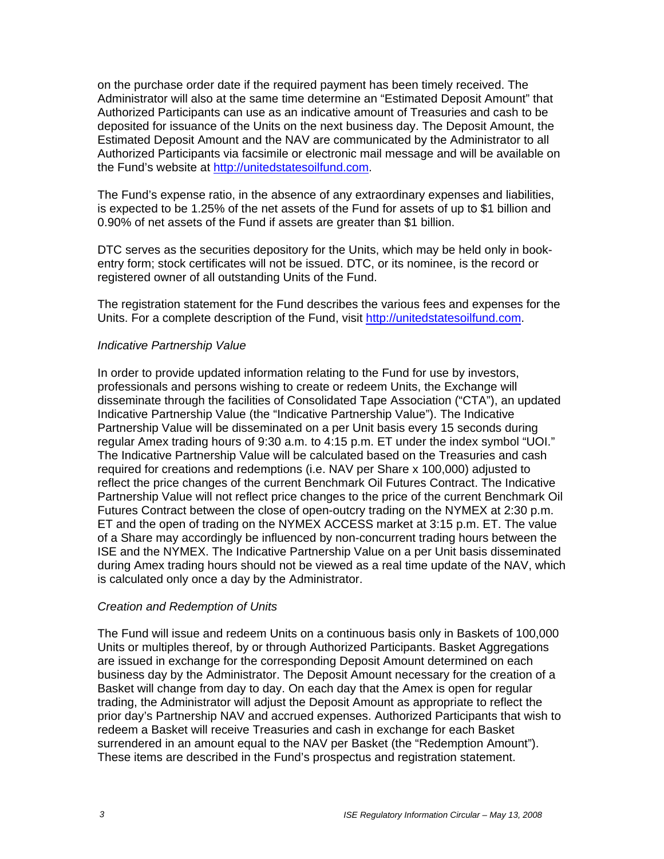on the purchase order date if the required payment has been timely received. The Administrator will also at the same time determine an "Estimated Deposit Amount" that Authorized Participants can use as an indicative amount of Treasuries and cash to be deposited for issuance of the Units on the next business day. The Deposit Amount, the Estimated Deposit Amount and the NAV are communicated by the Administrator to all Authorized Participants via facsimile or electronic mail message and will be available on the Fund's website at http://unitedstatesoilfund.com.

The Fund's expense ratio, in the absence of any extraordinary expenses and liabilities, is expected to be 1.25% of the net assets of the Fund for assets of up to \$1 billion and 0.90% of net assets of the Fund if assets are greater than \$1 billion.

DTC serves as the securities depository for the Units, which may be held only in bookentry form; stock certificates will not be issued. DTC, or its nominee, is the record or registered owner of all outstanding Units of the Fund.

The registration statement for the Fund describes the various fees and expenses for the Units. For a complete description of the Fund, visit http://unitedstatesoilfund.com.

#### *Indicative Partnership Value*

In order to provide updated information relating to the Fund for use by investors, professionals and persons wishing to create or redeem Units, the Exchange will disseminate through the facilities of Consolidated Tape Association ("CTA"), an updated Indicative Partnership Value (the "Indicative Partnership Value"). The Indicative Partnership Value will be disseminated on a per Unit basis every 15 seconds during regular Amex trading hours of 9:30 a.m. to 4:15 p.m. ET under the index symbol "UOI." The Indicative Partnership Value will be calculated based on the Treasuries and cash required for creations and redemptions (i.e. NAV per Share x 100,000) adjusted to reflect the price changes of the current Benchmark Oil Futures Contract. The Indicative Partnership Value will not reflect price changes to the price of the current Benchmark Oil Futures Contract between the close of open-outcry trading on the NYMEX at 2:30 p.m. ET and the open of trading on the NYMEX ACCESS market at 3:15 p.m. ET. The value of a Share may accordingly be influenced by non-concurrent trading hours between the ISE and the NYMEX. The Indicative Partnership Value on a per Unit basis disseminated during Amex trading hours should not be viewed as a real time update of the NAV, which is calculated only once a day by the Administrator.

#### *Creation and Redemption of Units*

The Fund will issue and redeem Units on a continuous basis only in Baskets of 100,000 Units or multiples thereof, by or through Authorized Participants. Basket Aggregations are issued in exchange for the corresponding Deposit Amount determined on each business day by the Administrator. The Deposit Amount necessary for the creation of a Basket will change from day to day. On each day that the Amex is open for regular trading, the Administrator will adjust the Deposit Amount as appropriate to reflect the prior day's Partnership NAV and accrued expenses. Authorized Participants that wish to redeem a Basket will receive Treasuries and cash in exchange for each Basket surrendered in an amount equal to the NAV per Basket (the "Redemption Amount"). These items are described in the Fund's prospectus and registration statement.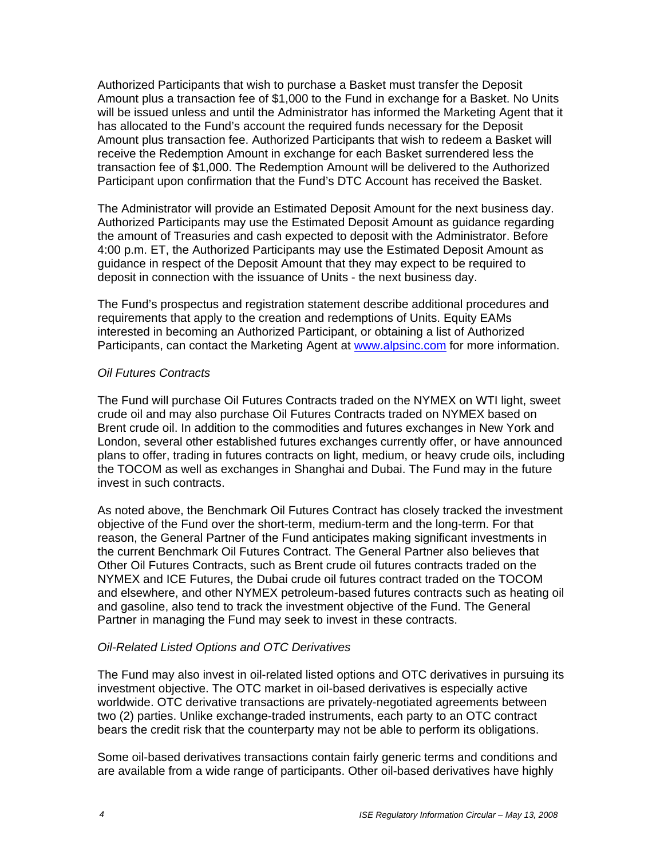Authorized Participants that wish to purchase a Basket must transfer the Deposit Amount plus a transaction fee of \$1,000 to the Fund in exchange for a Basket. No Units will be issued unless and until the Administrator has informed the Marketing Agent that it has allocated to the Fund's account the required funds necessary for the Deposit Amount plus transaction fee. Authorized Participants that wish to redeem a Basket will receive the Redemption Amount in exchange for each Basket surrendered less the transaction fee of \$1,000. The Redemption Amount will be delivered to the Authorized Participant upon confirmation that the Fund's DTC Account has received the Basket.

The Administrator will provide an Estimated Deposit Amount for the next business day. Authorized Participants may use the Estimated Deposit Amount as guidance regarding the amount of Treasuries and cash expected to deposit with the Administrator. Before 4:00 p.m. ET, the Authorized Participants may use the Estimated Deposit Amount as guidance in respect of the Deposit Amount that they may expect to be required to deposit in connection with the issuance of Units - the next business day.

The Fund's prospectus and registration statement describe additional procedures and requirements that apply to the creation and redemptions of Units. Equity EAMs interested in becoming an Authorized Participant, or obtaining a list of Authorized Participants, can contact the Marketing Agent at www.alpsinc.com for more information.

### *Oil Futures Contracts*

The Fund will purchase Oil Futures Contracts traded on the NYMEX on WTI light, sweet crude oil and may also purchase Oil Futures Contracts traded on NYMEX based on Brent crude oil. In addition to the commodities and futures exchanges in New York and London, several other established futures exchanges currently offer, or have announced plans to offer, trading in futures contracts on light, medium, or heavy crude oils, including the TOCOM as well as exchanges in Shanghai and Dubai. The Fund may in the future invest in such contracts.

As noted above, the Benchmark Oil Futures Contract has closely tracked the investment objective of the Fund over the short-term, medium-term and the long-term. For that reason, the General Partner of the Fund anticipates making significant investments in the current Benchmark Oil Futures Contract. The General Partner also believes that Other Oil Futures Contracts, such as Brent crude oil futures contracts traded on the NYMEX and ICE Futures, the Dubai crude oil futures contract traded on the TOCOM and elsewhere, and other NYMEX petroleum-based futures contracts such as heating oil and gasoline, also tend to track the investment objective of the Fund. The General Partner in managing the Fund may seek to invest in these contracts.

#### *Oil-Related Listed Options and OTC Derivatives*

The Fund may also invest in oil-related listed options and OTC derivatives in pursuing its investment objective. The OTC market in oil-based derivatives is especially active worldwide. OTC derivative transactions are privately-negotiated agreements between two (2) parties. Unlike exchange-traded instruments, each party to an OTC contract bears the credit risk that the counterparty may not be able to perform its obligations.

Some oil-based derivatives transactions contain fairly generic terms and conditions and are available from a wide range of participants. Other oil-based derivatives have highly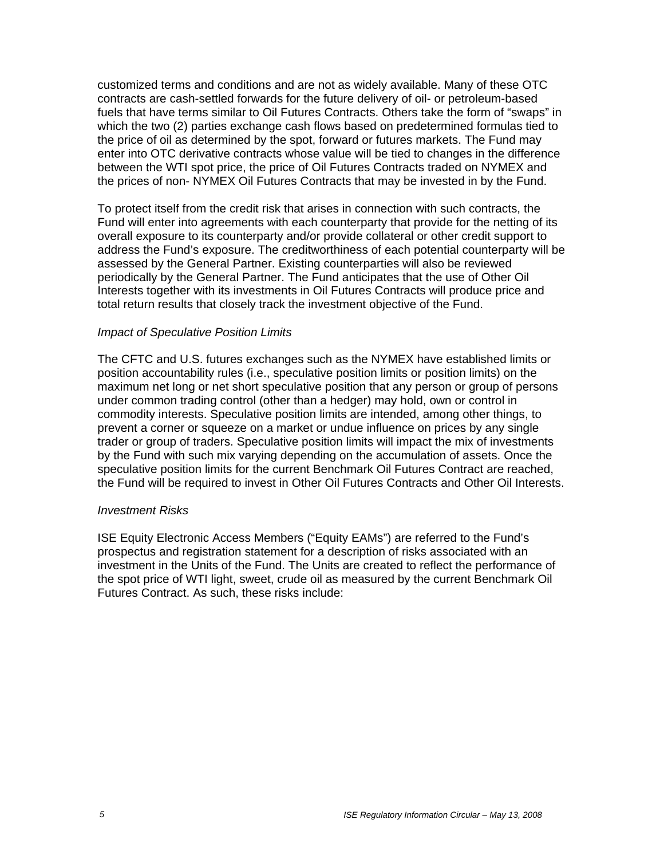customized terms and conditions and are not as widely available. Many of these OTC contracts are cash-settled forwards for the future delivery of oil- or petroleum-based fuels that have terms similar to Oil Futures Contracts. Others take the form of "swaps" in which the two (2) parties exchange cash flows based on predetermined formulas tied to the price of oil as determined by the spot, forward or futures markets. The Fund may enter into OTC derivative contracts whose value will be tied to changes in the difference between the WTI spot price, the price of Oil Futures Contracts traded on NYMEX and the prices of non- NYMEX Oil Futures Contracts that may be invested in by the Fund.

To protect itself from the credit risk that arises in connection with such contracts, the Fund will enter into agreements with each counterparty that provide for the netting of its overall exposure to its counterparty and/or provide collateral or other credit support to address the Fund's exposure. The creditworthiness of each potential counterparty will be assessed by the General Partner. Existing counterparties will also be reviewed periodically by the General Partner. The Fund anticipates that the use of Other Oil Interests together with its investments in Oil Futures Contracts will produce price and total return results that closely track the investment objective of the Fund.

### *Impact of Speculative Position Limits*

The CFTC and U.S. futures exchanges such as the NYMEX have established limits or position accountability rules (i.e., speculative position limits or position limits) on the maximum net long or net short speculative position that any person or group of persons under common trading control (other than a hedger) may hold, own or control in commodity interests. Speculative position limits are intended, among other things, to prevent a corner or squeeze on a market or undue influence on prices by any single trader or group of traders. Speculative position limits will impact the mix of investments by the Fund with such mix varying depending on the accumulation of assets. Once the speculative position limits for the current Benchmark Oil Futures Contract are reached, the Fund will be required to invest in Other Oil Futures Contracts and Other Oil Interests.

#### *Investment Risks*

ISE Equity Electronic Access Members ("Equity EAMs") are referred to the Fund's prospectus and registration statement for a description of risks associated with an investment in the Units of the Fund. The Units are created to reflect the performance of the spot price of WTI light, sweet, crude oil as measured by the current Benchmark Oil Futures Contract. As such, these risks include: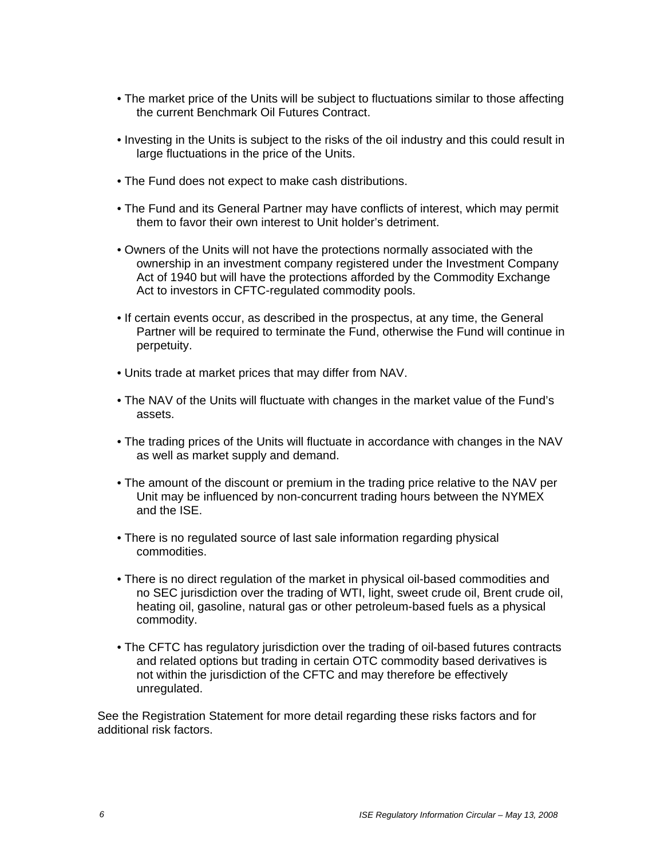- The market price of the Units will be subject to fluctuations similar to those affecting the current Benchmark Oil Futures Contract.
- Investing in the Units is subject to the risks of the oil industry and this could result in large fluctuations in the price of the Units.
- The Fund does not expect to make cash distributions.
- The Fund and its General Partner may have conflicts of interest, which may permit them to favor their own interest to Unit holder's detriment.
- Owners of the Units will not have the protections normally associated with the ownership in an investment company registered under the Investment Company Act of 1940 but will have the protections afforded by the Commodity Exchange Act to investors in CFTC-regulated commodity pools.
- If certain events occur, as described in the prospectus, at any time, the General Partner will be required to terminate the Fund, otherwise the Fund will continue in perpetuity.
- Units trade at market prices that may differ from NAV.
- The NAV of the Units will fluctuate with changes in the market value of the Fund's assets.
- The trading prices of the Units will fluctuate in accordance with changes in the NAV as well as market supply and demand.
- The amount of the discount or premium in the trading price relative to the NAV per Unit may be influenced by non-concurrent trading hours between the NYMEX and the ISE.
- There is no regulated source of last sale information regarding physical commodities.
- There is no direct regulation of the market in physical oil-based commodities and no SEC jurisdiction over the trading of WTI, light, sweet crude oil, Brent crude oil, heating oil, gasoline, natural gas or other petroleum-based fuels as a physical commodity.
- The CFTC has regulatory jurisdiction over the trading of oil-based futures contracts and related options but trading in certain OTC commodity based derivatives is not within the jurisdiction of the CFTC and may therefore be effectively unregulated.

See the Registration Statement for more detail regarding these risks factors and for additional risk factors.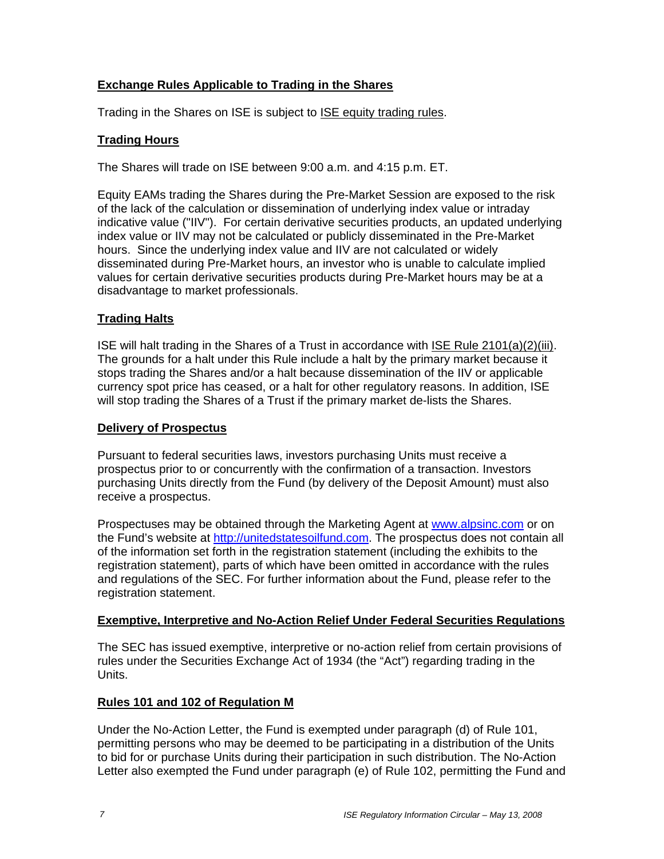# **Exchange Rules Applicable to Trading in the Shares**

Trading in the Shares on ISE is subject to **ISE equity trading rules**.

# **Trading Hours**

The Shares will trade on ISE between 9:00 a.m. and 4:15 p.m. ET.

Equity EAMs trading the Shares during the Pre-Market Session are exposed to the risk of the lack of the calculation or dissemination of underlying index value or intraday indicative value ("IIV"). For certain derivative securities products, an updated underlying index value or IIV may not be calculated or publicly disseminated in the Pre-Market hours. Since the underlying index value and IIV are not calculated or widely disseminated during Pre-Market hours, an investor who is unable to calculate implied values for certain derivative securities products during Pre-Market hours may be at a disadvantage to market professionals.

# **Trading Halts**

ISE will halt trading in the Shares of a Trust in accordance with ISE Rule 2101(a)(2)(iii). The grounds for a halt under this Rule include a halt by the primary market because it stops trading the Shares and/or a halt because dissemination of the IIV or applicable currency spot price has ceased, or a halt for other regulatory reasons. In addition, ISE will stop trading the Shares of a Trust if the primary market de-lists the Shares.

## **Delivery of Prospectus**

Pursuant to federal securities laws, investors purchasing Units must receive a prospectus prior to or concurrently with the confirmation of a transaction. Investors purchasing Units directly from the Fund (by delivery of the Deposit Amount) must also receive a prospectus.

Prospectuses may be obtained through the Marketing Agent at www.alpsinc.com or on the Fund's website at http://unitedstatesoilfund.com. The prospectus does not contain all of the information set forth in the registration statement (including the exhibits to the registration statement), parts of which have been omitted in accordance with the rules and regulations of the SEC. For further information about the Fund, please refer to the registration statement.

## **Exemptive, Interpretive and No-Action Relief Under Federal Securities Regulations**

The SEC has issued exemptive, interpretive or no-action relief from certain provisions of rules under the Securities Exchange Act of 1934 (the "Act") regarding trading in the Units.

## **Rules 101 and 102 of Regulation M**

Under the No-Action Letter, the Fund is exempted under paragraph (d) of Rule 101, permitting persons who may be deemed to be participating in a distribution of the Units to bid for or purchase Units during their participation in such distribution. The No-Action Letter also exempted the Fund under paragraph (e) of Rule 102, permitting the Fund and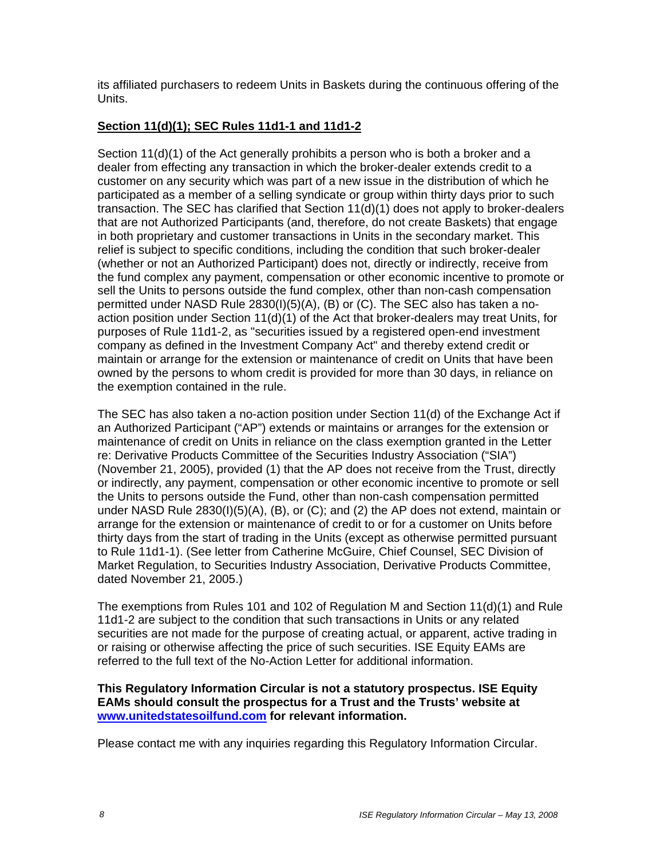its affiliated purchasers to redeem Units in Baskets during the continuous offering of the Units.

# **Section 11(d)(1); SEC Rules 11d1-1 and 11d1-2**

Section 11(d)(1) of the Act generally prohibits a person who is both a broker and a dealer from effecting any transaction in which the broker-dealer extends credit to a customer on any security which was part of a new issue in the distribution of which he participated as a member of a selling syndicate or group within thirty days prior to such transaction. The SEC has clarified that Section 11(d)(1) does not apply to broker-dealers that are not Authorized Participants (and, therefore, do not create Baskets) that engage in both proprietary and customer transactions in Units in the secondary market. This relief is subject to specific conditions, including the condition that such broker-dealer (whether or not an Authorized Participant) does not, directly or indirectly, receive from the fund complex any payment, compensation or other economic incentive to promote or sell the Units to persons outside the fund complex, other than non-cash compensation permitted under NASD Rule 2830(I)(5)(A), (B) or (C). The SEC also has taken a noaction position under Section 11(d)(1) of the Act that broker-dealers may treat Units, for purposes of Rule 11d1-2, as "securities issued by a registered open-end investment company as defined in the Investment Company Act" and thereby extend credit or maintain or arrange for the extension or maintenance of credit on Units that have been owned by the persons to whom credit is provided for more than 30 days, in reliance on the exemption contained in the rule.

The SEC has also taken a no-action position under Section 11(d) of the Exchange Act if an Authorized Participant ("AP") extends or maintains or arranges for the extension or maintenance of credit on Units in reliance on the class exemption granted in the Letter re: Derivative Products Committee of the Securities Industry Association ("SIA") (November 21, 2005), provided (1) that the AP does not receive from the Trust, directly or indirectly, any payment, compensation or other economic incentive to promote or sell the Units to persons outside the Fund, other than non-cash compensation permitted under NASD Rule 2830(I)(5)(A), (B), or (C); and (2) the AP does not extend, maintain or arrange for the extension or maintenance of credit to or for a customer on Units before thirty days from the start of trading in the Units (except as otherwise permitted pursuant to Rule 11d1-1). (See letter from Catherine McGuire, Chief Counsel, SEC Division of Market Regulation, to Securities Industry Association, Derivative Products Committee, dated November 21, 2005.)

The exemptions from Rules 101 and 102 of Regulation M and Section 11(d)(1) and Rule 11d1-2 are subject to the condition that such transactions in Units or any related securities are not made for the purpose of creating actual, or apparent, active trading in or raising or otherwise affecting the price of such securities. ISE Equity EAMs are referred to the full text of the No-Action Letter for additional information.

## **This Regulatory Information Circular is not a statutory prospectus. ISE Equity EAMs should consult the prospectus for a Trust and the Trusts' website at www.unitedstatesoilfund.com for relevant information.**

Please contact me with any inquiries regarding this Regulatory Information Circular.